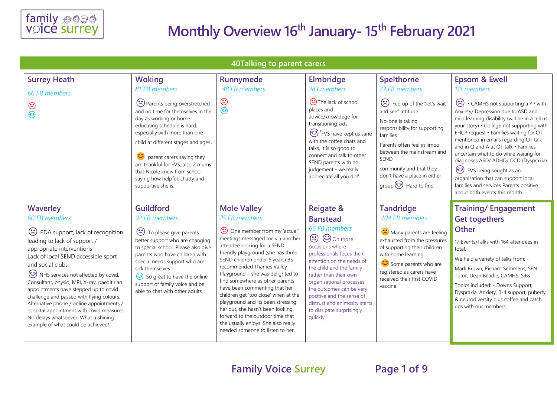

| 40Talking to parent carers |                                                                                                                                                                                                                                                                                                                                                                                                                                                                                                                  |                                                                                                                                                                                                                                                                                                                                                             |                                                                                                                                                                                                                                                                                                                                                                                                                                                                                                                                               |                                                                                                                                                                                                                                                                                                                                        |                                                                                                                                                                                                                                                                                            |                                                                                                                                                                                                                                                                                                                                                                                                                                                                                                                                |  |
|----------------------------|------------------------------------------------------------------------------------------------------------------------------------------------------------------------------------------------------------------------------------------------------------------------------------------------------------------------------------------------------------------------------------------------------------------------------------------------------------------------------------------------------------------|-------------------------------------------------------------------------------------------------------------------------------------------------------------------------------------------------------------------------------------------------------------------------------------------------------------------------------------------------------------|-----------------------------------------------------------------------------------------------------------------------------------------------------------------------------------------------------------------------------------------------------------------------------------------------------------------------------------------------------------------------------------------------------------------------------------------------------------------------------------------------------------------------------------------------|----------------------------------------------------------------------------------------------------------------------------------------------------------------------------------------------------------------------------------------------------------------------------------------------------------------------------------------|--------------------------------------------------------------------------------------------------------------------------------------------------------------------------------------------------------------------------------------------------------------------------------------------|--------------------------------------------------------------------------------------------------------------------------------------------------------------------------------------------------------------------------------------------------------------------------------------------------------------------------------------------------------------------------------------------------------------------------------------------------------------------------------------------------------------------------------|--|
|                            | <b>Surrey Heath</b><br>66 FB members                                                                                                                                                                                                                                                                                                                                                                                                                                                                             | <b>Woking</b><br>81 FB members                                                                                                                                                                                                                                                                                                                              | Runnymede<br>48 FB members                                                                                                                                                                                                                                                                                                                                                                                                                                                                                                                    | <b>Elmbridge</b><br>283 members                                                                                                                                                                                                                                                                                                        | <b>Spelthorne</b><br>72 FB members                                                                                                                                                                                                                                                         | <b>Epsom &amp; Ewell</b><br>111 members                                                                                                                                                                                                                                                                                                                                                                                                                                                                                        |  |
|                            | $\odot$<br>$\odot$                                                                                                                                                                                                                                                                                                                                                                                                                                                                                               | Parents being overstretched<br>and no time for themselves in the<br>day as working or home<br>educating schedule is hard,<br>especially with more than one<br>child at different stages and ages.<br>parent carers saying they<br>are thankful for FVS, also 2 mums<br>that Nicole knew from school<br>saying how helpful, chatty and<br>supportive she is. | $\odot$<br>☺                                                                                                                                                                                                                                                                                                                                                                                                                                                                                                                                  | The lack of school<br>places and<br>advice/knowldege for<br>transitioning kids<br>EVS have kept us sane<br>with the coffee chats and<br>talks, it is so good to<br>connect and talk to other<br>SEND parents with no<br>judgement - we really<br>appreciate all you do!'                                                               | Fed up of the "let's wait<br>and see" attitude<br>No-one is taking<br>responsibility for supporting<br>families<br>Parents often feel in limbo<br>between the mainstream and<br><b>SEND</b><br>community and that they<br>don't have a place in either<br>group <sup>23</sup> Hard to find | CAMHS not supporting a YP with<br>Anxiety/ Depression due to ASD and<br>mild learning disability (will be in a tell us<br>your story) . College not supporting with<br>EHCP request . Families waiting for OT<br>mentioned in emails regarding OT talk<br>and in O and A at OT talk • Families<br>uncertain what to do while waiting for<br>diagnoses ASD/ ADHD/ DCD (Dyspraxia)<br>ED FVS being sought as an<br>organisation that can support local<br>families and services Parents positive<br>about both events this month |  |
|                            | <b>Waverley</b><br>60 FB members                                                                                                                                                                                                                                                                                                                                                                                                                                                                                 | <b>Guildford</b><br>92 FB members                                                                                                                                                                                                                                                                                                                           | <b>Mole Valley</b><br>25 FB members                                                                                                                                                                                                                                                                                                                                                                                                                                                                                                           | <b>Reigate &amp;</b><br><b>Banstead</b>                                                                                                                                                                                                                                                                                                | <b>Tandridge</b><br>104 FB members                                                                                                                                                                                                                                                         | <b>Training/Engagement</b><br><b>Get togethers</b>                                                                                                                                                                                                                                                                                                                                                                                                                                                                             |  |
|                            | (*) PDA support, lack of recognition<br>leading to lack of support /<br>appropriate interventions<br>Lack of local SEND accessible sport<br>and social clubs<br>NHS services not affected by covid.<br>Consultant, physio, MRI, X-ray, paeditirian<br>appointments have stepped up to covid<br>challenge and passed with flying colours.<br>Alternative phone / online appointments /<br>hospital appointment with covid measures.<br>No delays whatsoever. What a shining<br>example of what could be achieved! | To please give parents<br>better support who are changing<br>to special school. Please also give<br>parents who have children with<br>special needs support who are<br>sick themselves<br>So great to have the online<br>support of family voice and be<br>able to chat with other adults                                                                   | One member from my 'actual'<br>meetings messaged me via another<br>attendee looking for a SEND<br>friendly playground (she has three<br>SEND children under 6 years) BS<br>recommended Thames Valley<br>Playground - she was delighted to<br>find somewhere as other parents<br>have been commenting that her<br>children get 'too close' when at the<br>playground and its been stressing<br>her out, she hasn't been looking<br>forward to the outdoor time that<br>she usually enjoys. She also really<br>needed someone to listen to her. | 66 FB members<br><b>⊙</b> © On those<br>occasions where<br>professionals focus their<br>attention on the needs of<br>the child and the family<br>rather than their own<br>organisational processes,<br>the outcomes can be very<br>positive and the sense of<br>distrust and animosity starts<br>to dissipate surprisingly<br>quickly. | Many parents are feeling<br>exhausted from the pressures<br>of supporting their children<br>with home learning.<br>Some parents who are<br>registered as carers have<br>received their first COVID<br>vaccine.                                                                             | <b>Other</b><br>17 Events/Talks with 164 attendees in<br>total.<br>We held a variety of talks from: -<br>Mark Brown, Richard Semmens, SEN<br>Tutor, Dean Beadle, CAMHS, SiBs<br>Topics included: - Downs Support,<br>Dyspraxia, Anxiety, 0-4 support, puberty<br>& neurodiversity plus coffee and catch<br>ups with our members                                                                                                                                                                                                |  |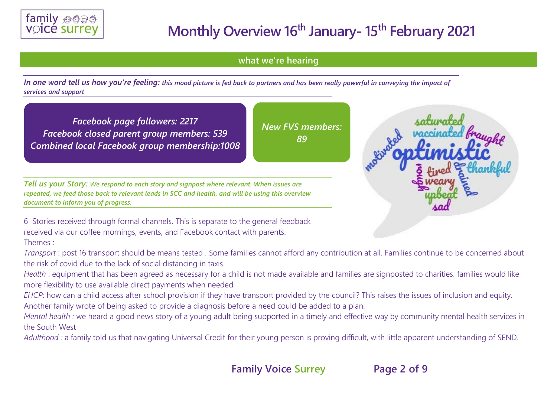

**what we're hearing** 

*In one word tell us how you're feeling: this mood picture is fed back to partners and has been really powerful in conveying the impact of services and support*

*Facebook page followers: 2217 Facebook closed parent group members: 539 Combined local Facebook group membership:1008*

*New FVS members: 89*

*Tell us your Story: We respond to each story and signpost where relevant. When issues are repeated, we feed those back to relevant leads in SCC and health, and will be using this overview document to inform you of progress.*

6 Stories received through formal channels. This is separate to the general feedback received via our coffee mornings, events, and Facebook contact with parents. Themes :

*Transport* : post 16 transport should be means tested . Some families cannot afford any contribution at all. Families continue to be concerned about the risk of covid due to the lack of social distancing in taxis.

*Health* : equipment that has been agreed as necessary for a child is not made available and families are signposted to charities. families would like more flexibility to use available direct payments when needed

*EHCP*: how can a child access after school provision if they have transport provided by the council? This raises the issues of inclusion and equity. Another family wrote of being asked to provide a diagnosis before a need could be added to a plan.

*Mental health :* we heard a good news story of a young adult being supported in a timely and effective way by community mental health services in the South West

Adulthood : a family told us that navigating Universal Credit for their young person is proving difficult, with little apparent understanding of SEND.



**Family Voice Surrey Page 2 of 9**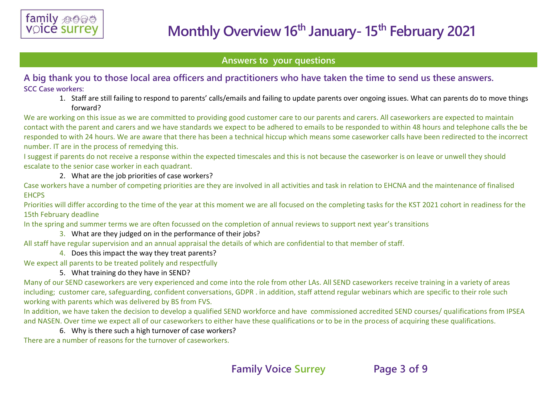

### **Answers to your questions**

## **A big thank you to those local area officers and practitioners who have taken the time to send us these answers. SCC Case workers:**

1. Staff are still failing to respond to parents' calls/emails and failing to update parents over ongoing issues. What can parents do to move things forward?

We are working on this issue as we are committed to providing good customer care to our parents and carers. All caseworkers are expected to maintain contact with the parent and carers and we have standards we expect to be adhered to emails to be responded to within 48 hours and telephone calls the be responded to with 24 hours. We are aware that there has been a technical hiccup which means some caseworker calls have been redirected to the incorrect number. IT are in the process of remedying this.

I suggest if parents do not receive a response within the expected timescales and this is not because the caseworker is on leave or unwell they should escalate to the senior case worker in each quadrant.

#### 2. What are the job priorities of case workers?

Case workers have a number of competing priorities are they are involved in all activities and task in relation to EHCNA and the maintenance of finalised **EHCPS** 

Priorities will differ according to the time of the year at this moment we are all focused on the completing tasks for the KST 2021 cohort in readiness for the 15th February deadline

In the spring and summer terms we are often focussed on the completion of annual reviews to support next year's transitions

### 3. What are they judged on in the performance of their jobs?

All staff have regular supervision and an annual appraisal the details of which are confidential to that member of staff.

4. Does this impact the way they treat parents?

We expect all parents to be treated politely and respectfully

### 5. What training do they have in SEND?

Many of our SEND caseworkers are very experienced and come into the role from other LAs. All SEND caseworkers receive training in a variety of areas including; customer care, safeguarding, confident conversations, GDPR . in addition, staff attend regular webinars which are specific to their role such working with parents which was delivered by BS from FVS.

In addition, we have taken the decision to develop a qualified SEND workforce and have commissioned accredited SEND courses/ qualifications from IPSEA and NASEN. Over time we expect all of our caseworkers to either have these qualifications or to be in the process of acquiring these qualifications.

### 6. Why is there such a high turnover of case workers?

There are a number of reasons for the turnover of caseworkers.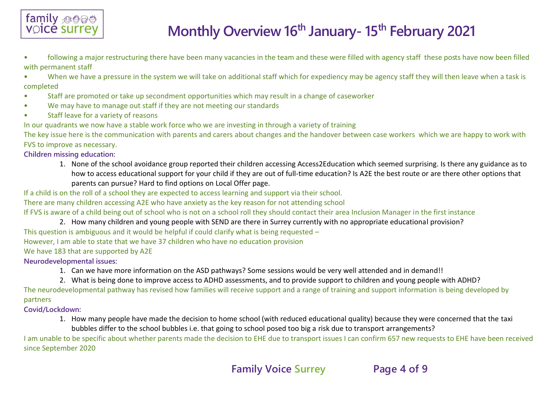

- following a major restructuring there have been many vacancies in the team and these were filled with agency staff these posts have now been filled with permanent staff
- When we have a pressure in the system we will take on additional staff which for expediency may be agency staff they will then leave when a task is completed
- Staff are promoted or take up secondment opportunities which may result in a change of caseworker
- We may have to manage out staff if they are not meeting our standards
- Staff leave for a variety of reasons

In our quadrants we now have a stable work force who we are investing in through a variety of training

The key issue here is the communication with parents and carers about changes and the handover between case workers which we are happy to work with FVS to improve as necessary.

**Children missing education:**

1. None of the school avoidance group reported their children accessing Access2Education which seemed surprising. Is there any guidance as to how to access educational support for your child if they are out of full-time education? Is A2E the best route or are there other options that parents can pursue? Hard to find options on Local Offer page.

If a child is on the roll of a school they are expected to access learning and support via their school.

There are many children accessing A2E who have anxiety as the key reason for not attending school

If FVS is aware of a child being out of school who is not on a school roll they should contact their area Inclusion Manager in the first instance

2. How many children and young people with SEND are there in Surrey currently with no appropriate educational provision?

This question is ambiguous and it would be helpful if could clarify what is being requested –

However, I am able to state that we have 37 children who have no education provision

We have 183 that are supported by A2E

#### **Neurodevelopmental issues:**

- 1. Can we have more information on the ASD pathways? Some sessions would be very well attended and in demand!!
- 2. What is being done to improve access to ADHD assessments, and to provide support to children and young people with ADHD?

The neurodevelopmental pathway has revised how families will receive support and a range of training and support information is being developed by partners

### **Covid/Lockdown:**

1. How many people have made the decision to home school (with reduced educational quality) because they were concerned that the taxi bubbles differ to the school bubbles i.e. that going to school posed too big a risk due to transport arrangements?

I am unable to be specific about whether parents made the decision to EHE due to transport issues I can confirm 657 new requests to EHE have been received since September 2020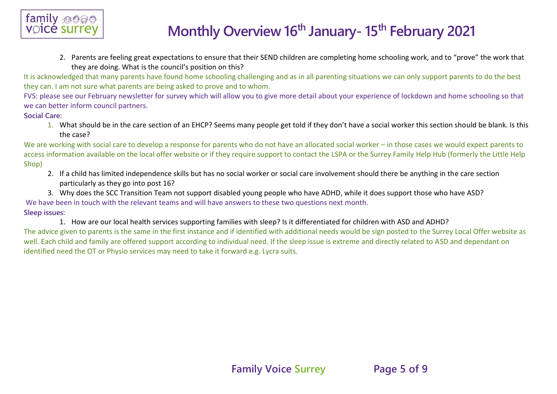

2. Parents are feeling great expectations to ensure that their SEND children are completing home schooling work, and to "prove" the work that they are doing. What is the council's position on this?

It is acknowledged that many parents have found home schooling challenging and as in all parenting situations we can only support parents to do the best they can. I am not sure what parents are being asked to prove and to whom.

FVS: please see our February newsletter for survey which will allow you to give more detail about your experience of lockdown and home schooling so that we can better inform council partners.

#### **Social Care:**

1. What should be in the care section of an EHCP? Seems many people get told if they don't have a social worker this section should be blank. Is this the case?

We are working with social care to develop a response for parents who do not have an allocated social worker – in those cases we would expect parents to access information available on the local offer website or if they require support to contact the LSPA or the Surrey Family Help Hub (formerly the Little Help Shop)

- 2. If a child has limited independence skills but has no social worker or social care involvement should there be anything in the care section particularly as they go into post 16?
- 3. Why does the SCC Transition Team not support disabled young people who have ADHD, while it does support those who have ASD?

We have been in touch with the relevant teams and will have answers to these two questions next month.

#### **Sleep issues:**

1. How are our local health services supporting families with sleep? Is it differentiated for children with ASD and ADHD?

The advice given to parents is the same in the first instance and if identified with additional needs would be sign posted to the Surrey Local Offer website as well. Each child and family are offered support according to individual need. If the sleep issue is extreme and directly related to ASD and dependant on identified need the OT or Physio services may need to take it forward e.g. Lycra suits.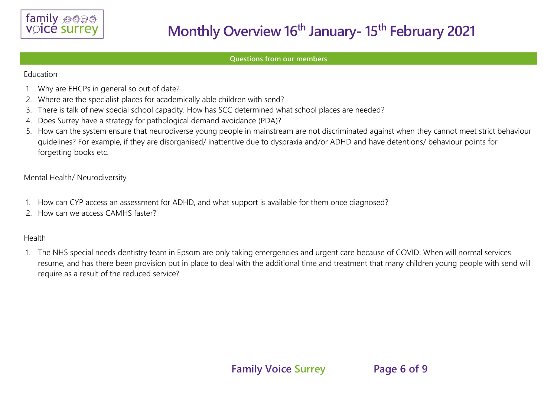

#### **Questions from our members**

Education

- 1. Why are EHCPs in general so out of date?
- 2. Where are the specialist places for academically able children with send?
- 3. There is talk of new special school capacity. How has SCC determined what school places are needed?
- 4. Does Surrey have a strategy for pathological demand avoidance (PDA)?
- 5. How can the system ensure that neurodiverse young people in mainstream are not discriminated against when they cannot meet strict behaviour guidelines? For example, if they are disorganised/ inattentive due to dyspraxia and/or ADHD and have detentions/ behaviour points for forgetting books etc.

Mental Health/ Neurodiversity

- 1. How can CYP access an assessment for ADHD, and what support is available for them once diagnosed?
- 2. How can we access CAMHS faster?

### Health

1. The NHS special needs dentistry team in Epsom are only taking emergencies and urgent care because of COVID. When will normal services resume, and has there been provision put in place to deal with the additional time and treatment that many children young people with send will require as a result of the reduced service?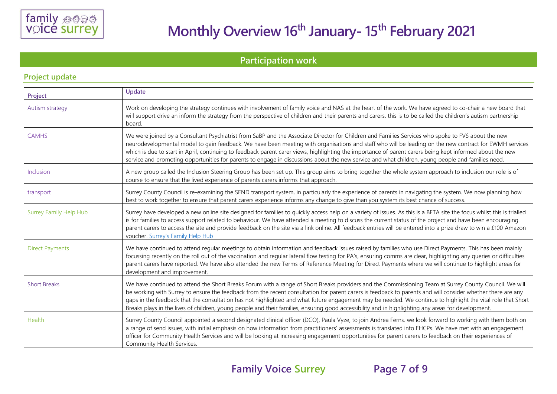

# **Participation work**

| Project                       | Update                                                                                                                                                                                                                                                                                                                                                                                                                                                                                                                                                                                                                                     |  |  |  |  |
|-------------------------------|--------------------------------------------------------------------------------------------------------------------------------------------------------------------------------------------------------------------------------------------------------------------------------------------------------------------------------------------------------------------------------------------------------------------------------------------------------------------------------------------------------------------------------------------------------------------------------------------------------------------------------------------|--|--|--|--|
| Autism strategy               | Work on developing the strategy continues with involvement of family voice and NAS at the heart of the work. We have agreed to co-chair a new board that<br>will support drive an inform the strategy from the perspective of children and their parents and carers. this is to be called the children's autism partnership<br>board.                                                                                                                                                                                                                                                                                                      |  |  |  |  |
| <b>CAMHS</b>                  | We were joined by a Consultant Psychiatrist from SaBP and the Associate Director for Children and Families Services who spoke to FVS about the new<br>neurodevelopmental model to gain feedback. We have been meeting with organisations and staff who will be leading on the new contract for EWMH services<br>which is due to start in April, continuing to feedback parent carer views, highlighting the importance of parent carers being kept informed about the new<br>service and promoting opportunities for parents to engage in discussions about the new service and what children, young people and families need.             |  |  |  |  |
| Inclusion                     | A new group called the Inclusion Steering Group has been set up. This group aims to bring together the whole system approach to inclusion our role is of<br>course to ensure that the lived experience of parents carers informs that approach.                                                                                                                                                                                                                                                                                                                                                                                            |  |  |  |  |
| transport                     | Surrey County Council is re-examining the SEND transport system, in particularly the experience of parents in navigating the system. We now planning how<br>best to work together to ensure that parent carers experience informs any change to give than you system its best chance of success.                                                                                                                                                                                                                                                                                                                                           |  |  |  |  |
| <b>Surrey Family Help Hub</b> | Surrey have developed a new online site designed for families to quickly access help on a variety of issues. As this is a BETA site the focus whilst this is trialled<br>is for families to access support related to behaviour. We have attended a meeting to discuss the current status of the project and have been encouraging<br>parent carers to access the site and provide feedback on the site via a link online. All feedback entries will be entered into a prize draw to win a £100 Amazon<br>voucher. Surrey's Family Help Hub                                                                                                |  |  |  |  |
| <b>Direct Payments</b>        | We have continued to attend regular meetings to obtain information and feedback issues raised by families who use Direct Payments. This has been mainly<br>focussing recently on the roll out of the vaccination and regular lateral flow testing for PA's, ensuring comms are clear, highlighting any queries or difficulties<br>parent carers have reported. We have also attended the new Terms of Reference Meeting for Direct Payments where we will continue to highlight areas for<br>development and improvement.                                                                                                                  |  |  |  |  |
| <b>Short Breaks</b>           | We have continued to attend the Short Breaks Forum with a range of Short Breaks providers and the Commissioning Team at Surrey County Council. We will<br>be working with Surrey to ensure the feedback from the recent consultation for parent carers is feedback to parents and will consider whether there are any<br>gaps in the feedback that the consultation has not highlighted and what future engagement may be needed. We continue to highlight the vital role that Short<br>Breaks plays in the lives of children, young people and their families, ensuring good accessibility and in highlighting any areas for development. |  |  |  |  |
| Health                        | Surrey County Council appointed a second designated clinical officer (DCO), Paula Vyze, to join Andrea Ferns. we look forward to working with them both on<br>a range of send issues, with initial emphasis on how information from practitioners' assessments is translated into EHCPs. We have met with an engagement<br>officer for Community Health Services and will be looking at increasing engagement opportunities for parent carers to feedback on their experiences of<br>Community Health Services.                                                                                                                            |  |  |  |  |

#### **Project update**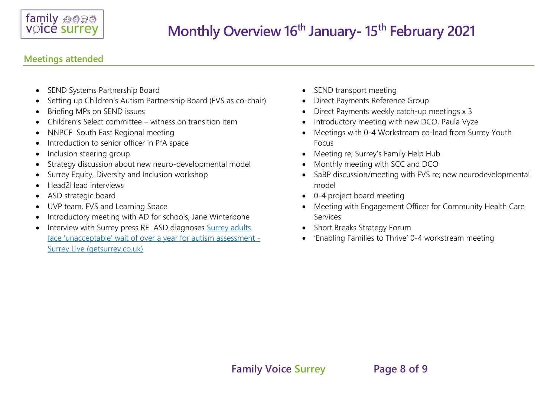

## **Meetings attended**

- SEND Systems Partnership Board
- Setting up Children's Autism Partnership Board (FVS as co-chair)
- Briefing MPs on SEND issues
- Children's Select committee witness on transition item
- NNPCF South East Regional meeting
- Introduction to senior officer in PfA space
- Inclusion steering group
- Strategy discussion about new neuro-developmental model
- Surrey Equity, Diversity and Inclusion workshop
- Head2Head interviews
- ASD strategic board
- UVP team, FVS and Learning Space
- Introductory meeting with AD for schools, Jane Winterbone
- Interview with Surrey press RE ASD diagnoses Surrey adults [face 'unacceptable' wait of over a year for autism assessment -](https://www.getsurrey.co.uk/news/surrey-news/surrey-adults-face-unacceptable-wait-19766758) [Surrey Live \(getsurrey.co.uk\)](https://www.getsurrey.co.uk/news/surrey-news/surrey-adults-face-unacceptable-wait-19766758)
- SEND transport meeting
- Direct Payments Reference Group
- Direct Payments weekly catch-up meetings x 3
- Introductory meeting with new DCO, Paula Vyze
- Meetings with 0-4 Workstream co-lead from Surrey Youth Focus
- Meeting re; Surrey's Family Help Hub
- Monthly meeting with SCC and DCO
- SaBP discussion/meeting with FVS re; new neurodevelopmental model
- 0-4 project board meeting
- Meeting with Engagement Officer for Community Health Care Services
- Short Breaks Strategy Forum
- 'Enabling Families to Thrive' 0-4 workstream meeting